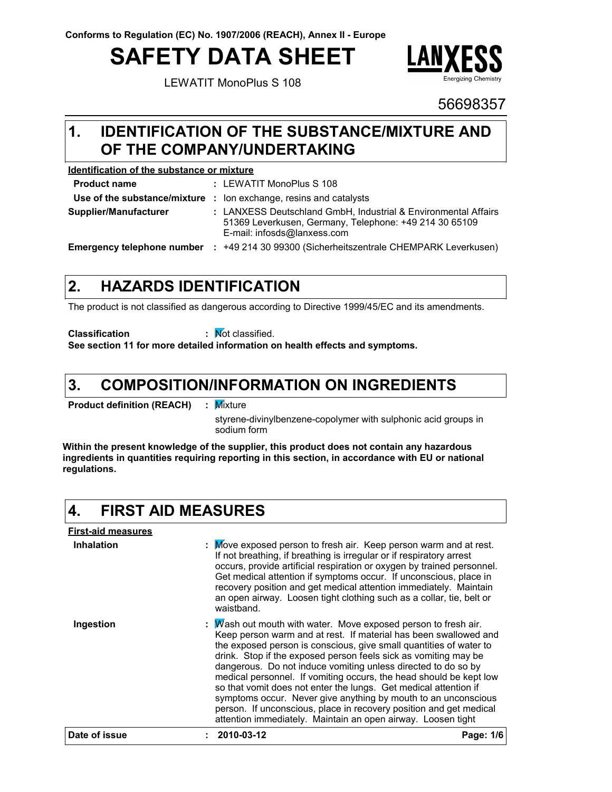# **SAFETY DATA SHEET**

LEWATIT MonoPlus S 108



### 56698357

### **IDENTIFICATION OF THE SUBSTANCE/MIXTURE AND 1. OF THE COMPANY/UNDERTAKING**

#### **Identification of the substance or mixture**

| <b>Product name</b>        | : LEWATIT MonoPlus S 108                                                                                                                                |
|----------------------------|---------------------------------------------------------------------------------------------------------------------------------------------------------|
|                            | <b>Use of the substance/mixture :</b> lon exchange, resins and catalysts                                                                                |
| Supplier/Manufacturer      | : LANXESS Deutschland GmbH, Industrial & Environmental Affairs<br>51369 Leverkusen, Germany, Telephone: +49 214 30 65109<br>E-mail: infosds@lanxess.com |
| Emergency telephone number | +49 214 30 99300 (Sicherheitszentrale CHEMPARK Leverkusen)                                                                                              |

#### **HAZARDS IDENTIFICATION 2.**

The product is not classified as dangerous according to Directive 1999/45/EC and its amendments.

**Classification :** Not classified.

**See section 11 for more detailed information on health effects and symptoms.**

#### **COMPOSITION/INFORMATION ON INGREDIENTS 3.**

**Product definition (REACH) :** : Mixture

> styrene-divinylbenzene-copolymer with sulphonic acid groups in sodium form

**Within the present knowledge of the supplier, this product does not contain any hazardous ingredients in quantities requiring reporting in this section, in accordance with EU or national regulations.**

#### **4. FIRST AID MEASURES**

| <b>First-aid measures</b> |                                                                                                                                                                                                                                                                                                                                                                                                                                                                                                                                                                                                                                                                                                   |           |
|---------------------------|---------------------------------------------------------------------------------------------------------------------------------------------------------------------------------------------------------------------------------------------------------------------------------------------------------------------------------------------------------------------------------------------------------------------------------------------------------------------------------------------------------------------------------------------------------------------------------------------------------------------------------------------------------------------------------------------------|-----------|
| <b>Inhalation</b>         | : Move exposed person to fresh air. Keep person warm and at rest.<br>If not breathing, if breathing is irregular or if respiratory arrest<br>occurs, provide artificial respiration or oxygen by trained personnel.<br>Get medical attention if symptoms occur. If unconscious, place in<br>recovery position and get medical attention immediately. Maintain<br>an open airway. Loosen tight clothing such as a collar, tie, belt or<br>waistband.                                                                                                                                                                                                                                               |           |
| Ingestion                 | : $M$ ash out mouth with water. Move exposed person to fresh air.<br>Keep person warm and at rest. If material has been swallowed and<br>the exposed person is conscious, give small quantities of water to<br>drink. Stop if the exposed person feels sick as vomiting may be<br>dangerous. Do not induce vomiting unless directed to do so by<br>medical personnel. If vomiting occurs, the head should be kept low<br>so that vomit does not enter the lungs. Get medical attention if<br>symptoms occur. Never give anything by mouth to an unconscious<br>person. If unconscious, place in recovery position and get medical<br>attention immediately. Maintain an open airway. Loosen tight |           |
| Date of issue             | 2010-03-12                                                                                                                                                                                                                                                                                                                                                                                                                                                                                                                                                                                                                                                                                        | Page: 1/6 |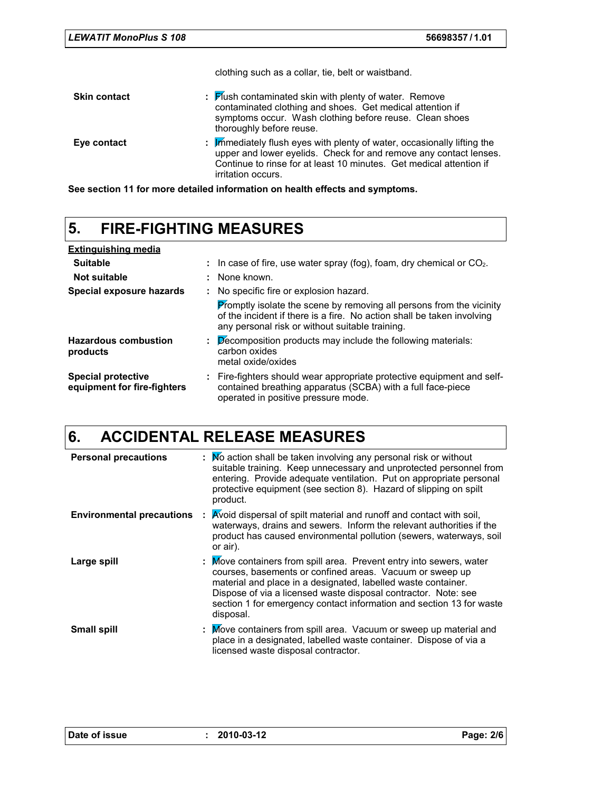clothing such as a collar, tie, belt or waistband.

| <b>Skin contact</b> | : Hush contaminated skin with plenty of water. Remove<br>contaminated clothing and shoes. Get medical attention if<br>symptoms occur. Wash clothing before reuse. Clean shoes<br>thoroughly before reuse.                                 |
|---------------------|-------------------------------------------------------------------------------------------------------------------------------------------------------------------------------------------------------------------------------------------|
| Eye contact         | : Immediately flush eyes with plenty of water, occasionally lifting the<br>upper and lower eyelids. Check for and remove any contact lenses.<br>Continue to rinse for at least 10 minutes. Get medical attention if<br>irritation occurs. |

**See section 11 for more detailed information on health effects and symptoms.**

### **5. FIRE-FIGHTING MEASURES**

| <b>Extinguishing media</b>                               |                                                                                              |                                                                                                                                                                                                          |  |  |  |
|----------------------------------------------------------|----------------------------------------------------------------------------------------------|----------------------------------------------------------------------------------------------------------------------------------------------------------------------------------------------------------|--|--|--|
| <b>Suitable</b>                                          | $\therefore$ In case of fire, use water spray (fog), foam, dry chemical or CO <sub>2</sub> . |                                                                                                                                                                                                          |  |  |  |
| Not suitable                                             |                                                                                              | : None known.                                                                                                                                                                                            |  |  |  |
| Special exposure hazards                                 |                                                                                              | : No specific fire or explosion hazard.                                                                                                                                                                  |  |  |  |
|                                                          |                                                                                              | <b>Promptly isolate the scene by removing all persons from the vicinity</b><br>of the incident if there is a fire. No action shall be taken involving<br>any personal risk or without suitable training. |  |  |  |
| <b>Hazardous combustion</b><br>products                  |                                                                                              | $\mathbf{P}$ $\mathbf{P}$ $\mathbf{P}$ $\mathbf{P}$ $\mathbf{P}$ $\mathbf{P}$ are products may include the following materials:<br>carbon oxides<br>metal oxide/oxides                                   |  |  |  |
| <b>Special protective</b><br>equipment for fire-fighters |                                                                                              | : Fire-fighters should wear appropriate protective equipment and self-<br>contained breathing apparatus (SCBA) with a full face-piece<br>operated in positive pressure mode.                             |  |  |  |

## **6. ACCIDENTAL RELEASE MEASURES**

| <b>Personal precautions</b>      | : Mo action shall be taken involving any personal risk or without<br>suitable training. Keep unnecessary and unprotected personnel from<br>entering. Provide adequate ventilation. Put on appropriate personal<br>protective equipment (see section 8). Hazard of slipping on spilt<br>product.                                                         |
|----------------------------------|---------------------------------------------------------------------------------------------------------------------------------------------------------------------------------------------------------------------------------------------------------------------------------------------------------------------------------------------------------|
| <b>Environmental precautions</b> | Avoid dispersal of spilt material and runoff and contact with soil,<br>waterways, drains and sewers. Inform the relevant authorities if the<br>product has caused environmental pollution (sewers, waterways, soil<br>or air).                                                                                                                          |
| Large spill                      | : Move containers from spill area. Prevent entry into sewers, water<br>courses, basements or confined areas. Vacuum or sweep up<br>material and place in a designated, labelled waste container.<br>Dispose of via a licensed waste disposal contractor. Note: see<br>section 1 for emergency contact information and section 13 for waste<br>disposal. |
| <b>Small spill</b>               | : Move containers from spill area. Vacuum or sweep up material and<br>place in a designated, labelled waste container. Dispose of via a<br>licensed waste disposal contractor.                                                                                                                                                                          |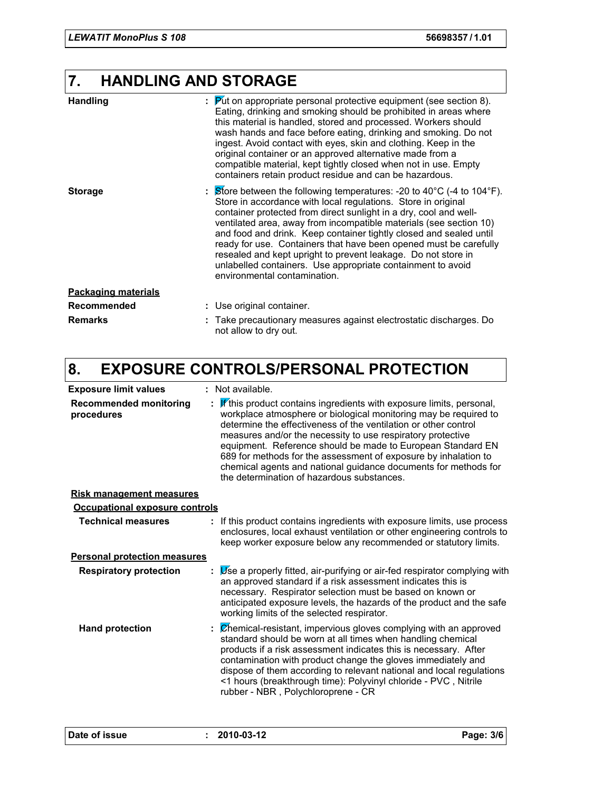## **7. HANDLING AND STORAGE**

| <b>Handling</b>            | $\therefore$ Put on appropriate personal protective equipment (see section 8).<br>Eating, drinking and smoking should be prohibited in areas where<br>this material is handled, stored and processed. Workers should<br>wash hands and face before eating, drinking and smoking. Do not<br>ingest. Avoid contact with eyes, skin and clothing. Keep in the<br>original container or an approved alternative made from a<br>compatible material, kept tightly closed when not in use. Empty<br>containers retain product residue and can be hazardous.                                                    |
|----------------------------|----------------------------------------------------------------------------------------------------------------------------------------------------------------------------------------------------------------------------------------------------------------------------------------------------------------------------------------------------------------------------------------------------------------------------------------------------------------------------------------------------------------------------------------------------------------------------------------------------------|
| <b>Storage</b>             | $\therefore$ Store between the following temperatures: -20 to 40°C (-4 to 104°F).<br>Store in accordance with local regulations. Store in original<br>container protected from direct sunlight in a dry, cool and well-<br>ventilated area, away from incompatible materials (see section 10)<br>and food and drink. Keep container tightly closed and sealed until<br>ready for use. Containers that have been opened must be carefully<br>resealed and kept upright to prevent leakage. Do not store in<br>unlabelled containers. Use appropriate containment to avoid<br>environmental contamination. |
| <b>Packaging materials</b> |                                                                                                                                                                                                                                                                                                                                                                                                                                                                                                                                                                                                          |
| Recommended                | : Use original container.                                                                                                                                                                                                                                                                                                                                                                                                                                                                                                                                                                                |
| <b>Remarks</b>             | Take precautionary measures against electrostatic discharges. Do<br>not allow to dry out.                                                                                                                                                                                                                                                                                                                                                                                                                                                                                                                |

## **8. EXPOSURE CONTROLS/PERSONAL PROTECTION**

| <b>Exposure limit values</b>                | : Not available.                                                                                                                                                                                                                                                                                                                                                                                                                                                                                                              |  |  |  |  |  |
|---------------------------------------------|-------------------------------------------------------------------------------------------------------------------------------------------------------------------------------------------------------------------------------------------------------------------------------------------------------------------------------------------------------------------------------------------------------------------------------------------------------------------------------------------------------------------------------|--|--|--|--|--|
| <b>Recommended monitoring</b><br>procedures | If this product contains ingredients with exposure limits, personal,<br>workplace atmosphere or biological monitoring may be required to<br>determine the effectiveness of the ventilation or other control<br>measures and/or the necessity to use respiratory protective<br>equipment. Reference should be made to European Standard EN<br>689 for methods for the assessment of exposure by inhalation to<br>chemical agents and national guidance documents for methods for<br>the determination of hazardous substances. |  |  |  |  |  |
| <b>Risk management measures</b>             |                                                                                                                                                                                                                                                                                                                                                                                                                                                                                                                               |  |  |  |  |  |
| <b>Occupational exposure controls</b>       |                                                                                                                                                                                                                                                                                                                                                                                                                                                                                                                               |  |  |  |  |  |
| <b>Technical measures</b>                   | : If this product contains ingredients with exposure limits, use process<br>enclosures, local exhaust ventilation or other engineering controls to<br>keep worker exposure below any recommended or statutory limits.                                                                                                                                                                                                                                                                                                         |  |  |  |  |  |
| <b>Personal protection measures</b>         |                                                                                                                                                                                                                                                                                                                                                                                                                                                                                                                               |  |  |  |  |  |
| <b>Respiratory protection</b>               | Use a properly fitted, air-purifying or air-fed respirator complying with<br>an approved standard if a risk assessment indicates this is<br>necessary. Respirator selection must be based on known or<br>anticipated exposure levels, the hazards of the product and the safe<br>working limits of the selected respirator.                                                                                                                                                                                                   |  |  |  |  |  |
| <b>Hand protection</b>                      | $\mathcal{L}$ Chemical-resistant, impervious gloves complying with an approved<br>standard should be worn at all times when handling chemical<br>products if a risk assessment indicates this is necessary. After<br>contamination with product change the gloves immediately and<br>dispose of them according to relevant national and local regulations<br><1 hours (breakthrough time): Polyvinyl chloride - PVC, Nitrile<br>rubber - NBR, Polychloroprene - CR                                                            |  |  |  |  |  |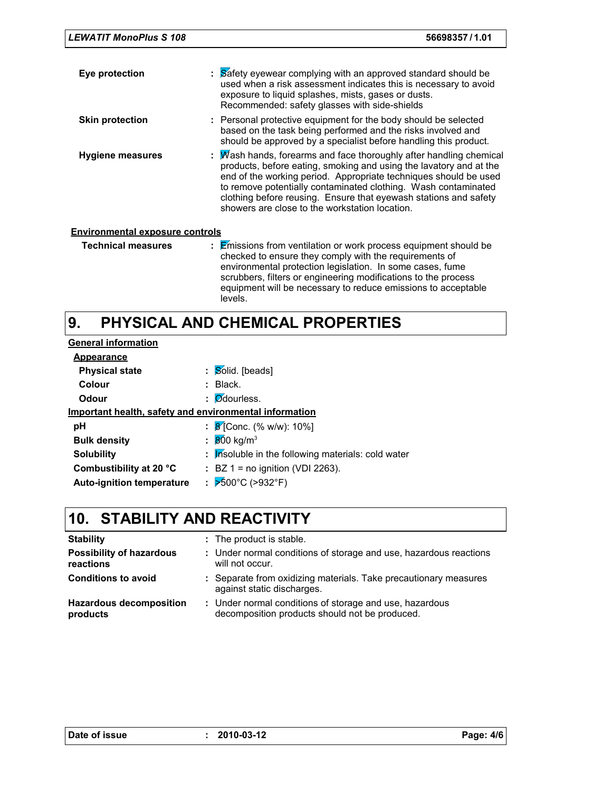| <b>LEWATIT MonoPlus S 108</b>          | 56698357/1.01                                                                                                                                                                                                                                                                                                                                                                                      |
|----------------------------------------|----------------------------------------------------------------------------------------------------------------------------------------------------------------------------------------------------------------------------------------------------------------------------------------------------------------------------------------------------------------------------------------------------|
| Eye protection                         | : Safety eyewear complying with an approved standard should be<br>used when a risk assessment indicates this is necessary to avoid<br>exposure to liquid splashes, mists, gases or dusts.<br>Recommended: safety glasses with side-shields                                                                                                                                                         |
| <b>Skin protection</b>                 | : Personal protective equipment for the body should be selected<br>based on the task being performed and the risks involved and<br>should be approved by a specialist before handling this product.                                                                                                                                                                                                |
| <b>Hygiene measures</b>                | Wash hands, forearms and face thoroughly after handling chemical<br>products, before eating, smoking and using the lavatory and at the<br>end of the working period. Appropriate techniques should be used<br>to remove potentially contaminated clothing. Wash contaminated<br>clothing before reusing. Ensure that eyewash stations and safety<br>showers are close to the workstation location. |
| <b>Environmental exposure controls</b> |                                                                                                                                                                                                                                                                                                                                                                                                    |
| <b>Technical measures</b>              | $\frac{1}{2}$ Emissions from ventilation or work process equipment should be<br>checked to ensure they comply with the requirements of<br>environmental protection legislation. In some cases, fume<br>scrubbers, filters or engineering modifications to the process<br>equipment will be necessary to reduce emissions to acceptable                                                             |

#### **PHYSICAL AND CHEMICAL PROPERTIES 9.**

levels.

| <b>General information</b>                             |                                                    |
|--------------------------------------------------------|----------------------------------------------------|
| Appearance                                             |                                                    |
| <b>Physical state</b>                                  | $\therefore$ Solid. [beads]                        |
| Colour                                                 | $:$ Black.                                         |
| Odour                                                  | $\therefore$ <i>O</i> dourless.                    |
| Important health, safety and environmental information |                                                    |
| рH                                                     | : $\cancel{8}$ [Conc. (% w/w): 10%]                |
| <b>Bulk density</b>                                    | : 800 kg/m <sup>3</sup>                            |
| <b>Solubility</b>                                      | : Insoluble in the following materials: cold water |
| Combustibility at 20 °C                                | $\therefore$ BZ 1 = no ignition (VDI 2263).        |
| <b>Auto-ignition temperature</b>                       | : $>600^{\circ}$ C (>932°F)                        |

## **10. STABILITY AND REACTIVITY**

| <b>Stability</b>                             | : The product is stable.                                                                                  |
|----------------------------------------------|-----------------------------------------------------------------------------------------------------------|
| <b>Possibility of hazardous</b><br>reactions | : Under normal conditions of storage and use, hazardous reactions<br>will not occur.                      |
| <b>Conditions to avoid</b>                   | : Separate from oxidizing materials. Take precautionary measures<br>against static discharges.            |
| <b>Hazardous decomposition</b><br>products   | : Under normal conditions of storage and use, hazardous<br>decomposition products should not be produced. |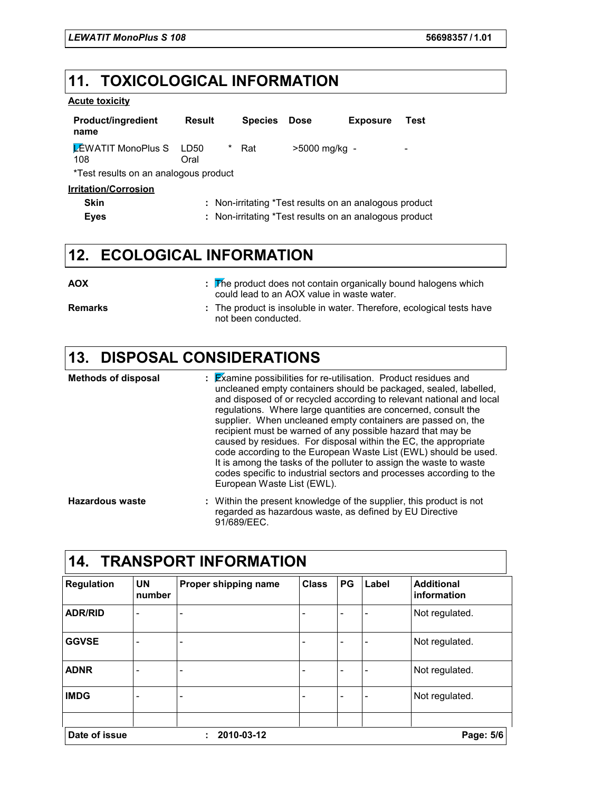## **11. TOXICOLOGICAL INFORMATION**

#### **Acute toxicity**

| <b>Product/ingredient</b><br>name     | Result                                                 |   | <b>Species</b> | <b>Dose</b>   | <b>Exposure</b> | Test |  |  |
|---------------------------------------|--------------------------------------------------------|---|----------------|---------------|-----------------|------|--|--|
| <b>EWATIT MonoPlus S</b> LD50<br>108  | Oral                                                   | * | Rat            | >5000 mg/kg - |                 | -    |  |  |
| *Test results on an analogous product |                                                        |   |                |               |                 |      |  |  |
| <u><b>Irritation/Corrosion</b></u>    |                                                        |   |                |               |                 |      |  |  |
| Skin                                  | : Non-irritating *Test results on an analogous product |   |                |               |                 |      |  |  |

| <b>Eyes</b> | : Non-irritating *Test results on an analogous product |  |
|-------------|--------------------------------------------------------|--|
|             |                                                        |  |

## **12. ECOLOGICAL INFORMATION**

| <b>AOX</b>     | $\frac{1}{2}$ . The product does not contain organically bound halogens which<br>could lead to an AOX value in waste water. |
|----------------|-----------------------------------------------------------------------------------------------------------------------------|
| <b>Remarks</b> | : The product is insoluble in water. Therefore, ecological tests have<br>not been conducted.                                |

## **13. DISPOSAL CONSIDERATIONS**

| <b>Methods of disposal</b> | $\mathbf{z}$ Examine possibilities for re-utilisation. Product residues and<br>uncleaned empty containers should be packaged, sealed, labelled,<br>and disposed of or recycled according to relevant national and local<br>regulations. Where large quantities are concerned, consult the<br>supplier. When uncleaned empty containers are passed on, the<br>recipient must be warned of any possible hazard that may be<br>caused by residues. For disposal within the EC, the appropriate<br>code according to the European Waste List (EWL) should be used.<br>It is among the tasks of the polluter to assign the waste to waste<br>codes specific to industrial sectors and processes according to the<br>European Waste List (EWL). |
|----------------------------|-------------------------------------------------------------------------------------------------------------------------------------------------------------------------------------------------------------------------------------------------------------------------------------------------------------------------------------------------------------------------------------------------------------------------------------------------------------------------------------------------------------------------------------------------------------------------------------------------------------------------------------------------------------------------------------------------------------------------------------------|
| <b>Hazardous waste</b>     | : Within the present knowledge of the supplier, this product is not<br>regarded as hazardous waste, as defined by EU Directive                                                                                                                                                                                                                                                                                                                                                                                                                                                                                                                                                                                                            |

91/689/EEC.

| <b>TRANSPORT INFORMATION</b><br>14. |                     |                          |              |    |                          |                                  |
|-------------------------------------|---------------------|--------------------------|--------------|----|--------------------------|----------------------------------|
| <b>Regulation</b>                   | <b>UN</b><br>number | Proper shipping name     | <b>Class</b> | PG | Label                    | <b>Additional</b><br>information |
| <b>ADR/RID</b>                      | -                   | ۰                        |              |    | -                        | Not regulated.                   |
| <b>GGVSE</b>                        |                     |                          |              |    | ۰                        | Not regulated.                   |
| <b>ADNR</b>                         | -                   | ۰                        |              |    | -                        | Not regulated.                   |
| <b>IMDG</b>                         | -                   | $\overline{\phantom{0}}$ |              | ۰  | $\overline{\phantom{a}}$ | Not regulated.                   |
| Date of issue                       |                     | 2010-03-12               |              |    |                          | Page: 5/6                        |